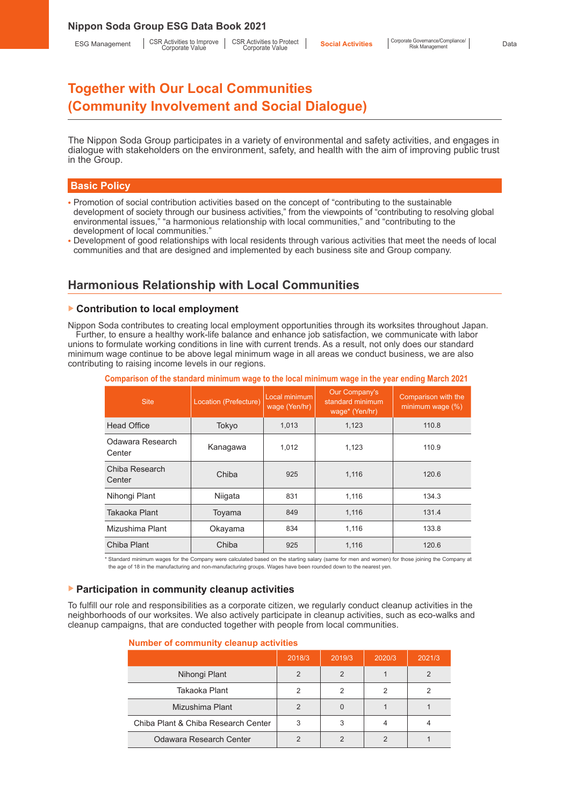The Nippon Soda Group participates in a variety of environmental and safety activities, and engages in dialogue with stakeholders on the environment, safety, and health with the aim of improving public trust in the Group.

### **Basic Policy**

- Promotion of social contribution activities based on the concept of "contributing to the sustainable development of society through our business activities," from the viewpoints of "contributing to resolving global environmental issues," "a harmonious relationship with local communities," and "contributing to the development of local communities."
- Development of good relationships with local residents through various activities that meet the needs of local communities and that are designed and implemented by each business site and Group company.

# **Harmonious Relationship with Local Communities**

#### ▶ **Contribution to local employment**

Nippon Soda contributes to creating local employment opportunities through its worksites throughout Japan. Further, to ensure a healthy work-life balance and enhance job satisfaction, we communicate with labor unions to formulate working conditions in line with current trends. As a result, not only does our standard minimum wage continue to be above legal minimum wage in all areas we conduct business, we are also contributing to raising income levels in our regions.

| <b>Site</b>                | Location (Prefecture) | Local minimum<br>wage (Yen/hr) | Our Company's<br>standard minimum<br>wage* (Yen/hr) | Comparison with the<br>minimum wage (%) |
|----------------------------|-----------------------|--------------------------------|-----------------------------------------------------|-----------------------------------------|
| <b>Head Office</b>         | Tokyo                 | 1.013                          | 1.123                                               | 110.8                                   |
| Odawara Research<br>Center | Kanagawa              | 1,012                          | 1,123                                               | 110.9                                   |
| Chiba Research<br>Center   | Chiba                 | 925                            | 1.116                                               | 120.6                                   |
| Nihongi Plant              | Niigata               | 831                            | 1.116                                               | 134.3                                   |
| Takaoka Plant              | Toyama                | 849                            | 1,116                                               | 131.4                                   |
| Mizushima Plant            | Okayama               | 834                            | 1,116                                               | 133.8                                   |
| Chiba Plant                | Chiba                 | 925                            | 1.116                                               | 120.6                                   |

**Comparison of the standard minimum wage to the local minimum wage in the year ending March 2021**

\* Standard minimum wages for the Company were calculated based on the starting salary (same for men and women) for those joining the Company at the age of 18 in the manufacturing and non-manufacturing groups. Wages have been rounded down to the nearest yen.

#### ▶ **Participation in community cleanup activities**

To fulfill our role and responsibilities as a corporate citizen, we regularly conduct cleanup activities in the neighborhoods of our worksites. We also actively participate in cleanup activities, such as eco-walks and cleanup campaigns, that are conducted together with people from local communities.

|                                     | 2018/3        | 2019/3 | 2020/3 | 2021/3 |
|-------------------------------------|---------------|--------|--------|--------|
| Nihongi Plant                       | $\mathcal{P}$ | 2      |        |        |
| Takaoka Plant                       | 2             | 2      | 2      |        |
| Mizushima Plant                     |               |        |        |        |
| Chiba Plant & Chiba Research Center | 3             | 3      |        |        |
| Odawara Research Center             |               |        |        |        |

#### **Number of community cleanup activities**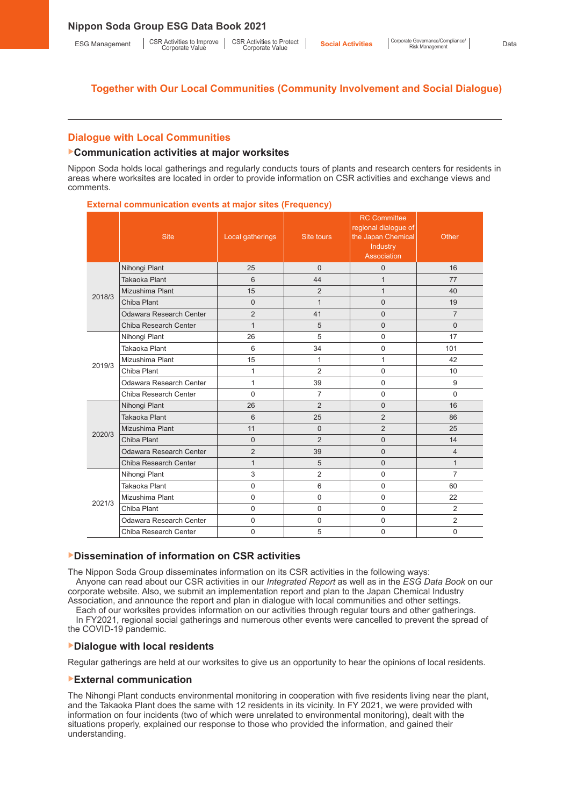# **Dialogue with Local Communities**

### ▶**Communication activities at major worksites**

Nippon Soda holds local gatherings and regularly conducts tours of plants and research centers for residents in areas where worksites are located in order to provide information on CSR activities and exchange views and comments.

**External communication events at major sites (Frequency)**

|        | <b>Site</b>             | Local gatherings | Site tours     | <b>RC Committee</b><br>regional dialogue of<br>the Japan Chemical<br>Industry<br>Association | Other          |
|--------|-------------------------|------------------|----------------|----------------------------------------------------------------------------------------------|----------------|
|        | Nihongi Plant           | 25               | $\Omega$       | 0                                                                                            | 16             |
|        | Takaoka Plant           | 6                | 44             | $\mathbf{1}$                                                                                 | 77             |
| 2018/3 | Mizushima Plant         | 15               | $\overline{2}$ | $\mathbf{1}$                                                                                 | 40             |
|        | Chiba Plant             | $\Omega$         | $\mathbf{1}$   | $\Omega$                                                                                     | 19             |
|        | Odawara Research Center | $\overline{2}$   | 41             | 0                                                                                            | $\overline{7}$ |
|        | Chiba Research Center   | $\mathbf{1}$     | 5              | 0                                                                                            | $\Omega$       |
|        | Nihongi Plant           | 26               | 5              | $\Omega$                                                                                     | 17             |
|        | Takaoka Plant           | 6                | 34             | $\mathbf 0$                                                                                  | 101            |
| 2019/3 | Mizushima Plant         | 15               | 1              | 1                                                                                            | 42             |
|        | Chiba Plant             | 1                | $\overline{2}$ | $\Omega$                                                                                     | 10             |
|        | Odawara Research Center | 1                | 39             | $\mathbf 0$                                                                                  | 9              |
|        | Chiba Research Center   | $\mathbf 0$      | $\overline{7}$ | $\mathbf 0$                                                                                  | $\Omega$       |
|        | Nihongi Plant           | 26               | $\overline{2}$ | 0                                                                                            | 16             |
|        | Takaoka Plant           | 6                | 25             | $\overline{2}$                                                                               | 86             |
| 2020/3 | Mizushima Plant         | 11               | $\Omega$       | $\overline{2}$                                                                               | 25             |
|        | Chiba Plant             | $\mathbf 0$      | $\overline{2}$ | 0                                                                                            | 14             |
|        | Odawara Research Center | $\overline{2}$   | 39             | $\overline{0}$                                                                               | $\overline{4}$ |
|        | Chiba Research Center   | $\mathbf{1}$     | 5              | $\Omega$                                                                                     | $\mathbf{1}$   |
|        | Nihongi Plant           | 3                | $\overline{2}$ | $\mathbf 0$                                                                                  | $\overline{7}$ |
| 2021/3 | Takaoka Plant           | 0                | 6              | $\Omega$                                                                                     | 60             |
|        | Mizushima Plant         | $\Omega$         | $\Omega$       | $\Omega$                                                                                     | 22             |
|        | Chiba Plant             | $\Omega$         | $\mathbf 0$    | $\mathbf 0$                                                                                  | 2              |
|        | Odawara Research Center | $\mathbf 0$      | $\mathbf 0$    | $\mathbf 0$                                                                                  | $\overline{2}$ |
|        | Chiba Research Center   | 0                | 5              | $\mathbf 0$                                                                                  | 0              |

### ▶**Dissemination of information on CSR activities**

The Nippon Soda Group disseminates information on its CSR activities in the following ways: Anyone can read about our CSR activities in our *Integrated Report* as well as in the *ESG Data Book* on our corporate website. Also, we submit an implementation report and plan to the Japan Chemical Industry Association, and announce the report and plan in dialogue with local communities and other settings.

Each of our worksites provides information on our activities through regular tours and other gatherings. In FY2021, regional social gatherings and numerous other events were cancelled to prevent the spread of the COVID-19 pandemic.

### ▶**Dialogue with local residents**

Regular gatherings are held at our worksites to give us an opportunity to hear the opinions of local residents.

### ▶**External communication**

The Nihongi Plant conducts environmental monitoring in cooperation with five residents living near the plant, and the Takaoka Plant does the same with 12 residents in its vicinity. In FY 2021, we were provided with information on four incidents (two of which were unrelated to environmental monitoring), dealt with the situations properly, explained our response to those who provided the information, and gained their understanding.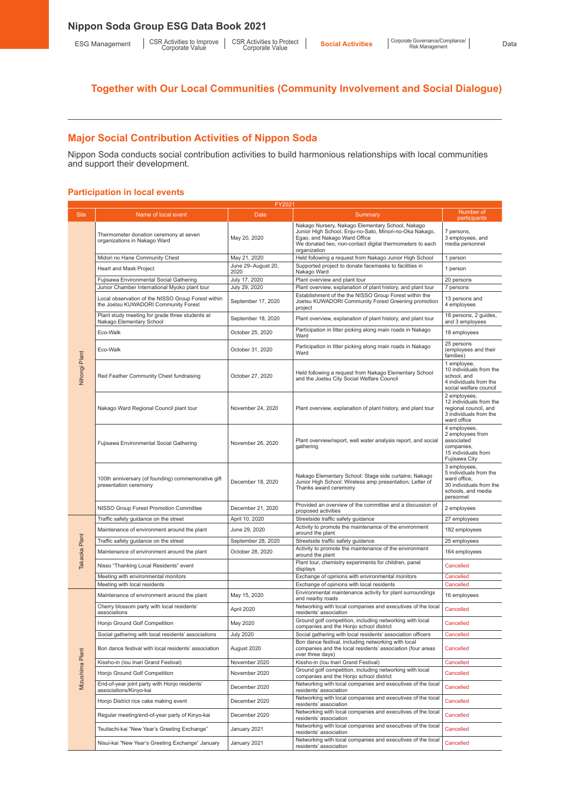# **Major Social Contribution Activities of Nippon Soda**

Nippon Soda conducts social contribution activities to build harmonious relationships with local communities and support their development.

# **Participation in local events**

|                 |                                                                                            | FY202 <sup>-</sup>         |                                                                                                                                                                                                                         |                                                                                                                      |
|-----------------|--------------------------------------------------------------------------------------------|----------------------------|-------------------------------------------------------------------------------------------------------------------------------------------------------------------------------------------------------------------------|----------------------------------------------------------------------------------------------------------------------|
| <b>Site</b>     | Name of local event                                                                        | Date                       | Summary                                                                                                                                                                                                                 | Number of<br>participants                                                                                            |
|                 | Thermometer donation ceremony at seven<br>organizations in Nakago Ward                     | May 20, 2020               | Nakago Nursery, Nakago Elementary School, Nakago<br>Junior High School, Enju-no-Sato, Minori-no-Oka Nakago,<br>Egao, and Nakago Ward Office<br>We donated two, non-contact digital thermometers to each<br>organization | 7 persons,<br>3 employees, and<br>media personnel                                                                    |
|                 | Midori no Hane Community Chest                                                             | May 21, 2020               | Held following a request from Nakago Junior High School                                                                                                                                                                 | 1 person                                                                                                             |
|                 | <b>Heart and Mask Project</b>                                                              | June 29-August 20,<br>2020 | Supported project to donate facemasks to facilities in<br>Nakago Ward                                                                                                                                                   | 1 person                                                                                                             |
|                 | Fujisawa Environmental Social Gathering                                                    | July 17, 2020              | Plant overview and plant tour                                                                                                                                                                                           | 20 persons                                                                                                           |
|                 | Junior Chamber International Myoko plant tour                                              | July 29, 2020              | Plant overview, explanation of plant history, and plant tour                                                                                                                                                            | 7 persons                                                                                                            |
|                 | Local observation of the NISSO Group Forest within<br>the Joetsu KUWADORI Community Forest | September 17, 2020         | Establishment of the the NISSO Group Forest within the<br>Joetsu KUWADORI Community Forest Greening promotion<br>project                                                                                                | 13 persons and<br>4 employees                                                                                        |
|                 | Plant study meeting for grade three students at<br>Nakago Elementary School                | September 18, 2020         | Plant overview, explanation of plant history, and plant tour                                                                                                                                                            | 18 persons, 2 quides,<br>and 3 employees                                                                             |
|                 | Eco-Walk                                                                                   | October 25, 2020           | Participation in litter picking along main roads in Nakago<br>Ward                                                                                                                                                      | 18 employees                                                                                                         |
|                 | Eco-Walk                                                                                   | October 31, 2020           | Participation in litter picking along main roads in Nakago<br>Ward                                                                                                                                                      | 25 persons<br>(employees and their<br>families)                                                                      |
| Nihongi Plant   | Red Feather Community Chest fundraising                                                    | October 27, 2020           | Held following a request from Nakago Elementary School<br>and the Joetsu City Social Welfare Council                                                                                                                    | 1 employee,<br>10 individuals from the<br>school, and<br>4 individuals from the<br>social welfare council            |
|                 | Nakago Ward Regional Council plant tour                                                    | November 24, 2020          | Plant overview, explanation of plant history, and plant tour                                                                                                                                                            | 2 employees,<br>12 individuals from the<br>regional council, and<br>3 individuals from the<br>ward office            |
|                 | Fujisawa Environmental Social Gathering                                                    | November 26, 2020          | Plant overview/report, well water analysis report, and social<br>gathering                                                                                                                                              | 4 employees,<br>2 employees from<br>associated<br>companies,<br>15 individuals from<br>Fujisawa City                 |
|                 | 100th anniversary (of founding) commemorative gift<br>presentation ceremony                | December 18, 2020          | Nakago Elementary School: Stage side curtains; Nakago<br>Junior High School: Wireless amp presentation; Letter of<br>Thanks award ceremony                                                                              | 3 employees,<br>5 individuals from the<br>ward office,<br>30 individuals from the<br>schools, and media<br>personnel |
|                 | NISSO Group Forest Promotion Committee                                                     | December 21, 2020          | Provided an overview of the committee and a discussion of<br>proposed activities                                                                                                                                        | 2 employees                                                                                                          |
|                 | Traffic safety guidance on the street                                                      | April 10, 2020             | Streetside traffic safety guidance                                                                                                                                                                                      | 27 employees                                                                                                         |
|                 | Maintenance of environment around the plant                                                | June 29, 2020              | Activity to promote the maintenance of the environment<br>around the plant                                                                                                                                              | 182 employees                                                                                                        |
|                 | Traffic safety guidance on the street                                                      | September 28, 2020         | Streetside traffic safety guidance                                                                                                                                                                                      | 25 employees                                                                                                         |
| Takaoka Plant   | Maintenance of environment around the plant                                                | October 28, 2020           | Activity to promote the maintenance of the environment<br>around the plant                                                                                                                                              | 164 employees                                                                                                        |
|                 | Nisso "Thanking Local Residents" event                                                     |                            | Plant tour, chemistry experiments for children, panel<br>displays                                                                                                                                                       | Cancelled                                                                                                            |
|                 | Meeting with environmental monitors                                                        |                            | Exchange of opinions with environmental monitors                                                                                                                                                                        | Cancelled                                                                                                            |
|                 | Meeting with local residents                                                               |                            | Exchange of opinions with local residents                                                                                                                                                                               | Cancelled                                                                                                            |
|                 | Maintenance of environment around the plant                                                | May 15, 2020               | Environmental maintenance activity for plant surroundings<br>and nearby roads                                                                                                                                           | 16 employees                                                                                                         |
|                 | Cherry blossom party with local residents'<br>associations                                 | April 2020                 | Networking with local companies and executives of the local<br>residents' association                                                                                                                                   | Cancelled                                                                                                            |
|                 | Honjo Ground Golf Competition                                                              | May 2020                   | Ground golf competition, including networking with local<br>companies and the Honjo school district                                                                                                                     | Cancelled                                                                                                            |
|                 | Social gathering with local residents' associations                                        | <b>July 2020</b>           | Social gathering with local residents' association officers<br>Bon dance festival, including networking with local                                                                                                      | Cancelled                                                                                                            |
| Mizushima Plant | Bon dance festival with local residents' association                                       | August 2020                | companies and the local residents' association (four areas<br>over three days)                                                                                                                                          | Cancelled                                                                                                            |
|                 | Kissho-in (Iou Inari Grand Festival)                                                       | November 2020              | Kissho-in (lou Inari Grand Festival)                                                                                                                                                                                    | Cancelled                                                                                                            |
|                 | Honjo Ground Golf Competition                                                              | November 2020              | Ground golf competition, including networking with local<br>companies and the Honjo school district                                                                                                                     | Cancelled                                                                                                            |
|                 | End-of-year joint party with Honjo residents'<br>associations/Kinyo-kai                    | December 2020              | Networking with local companies and executives of the local<br>residents' association                                                                                                                                   | Cancelled                                                                                                            |
|                 | Honjo District rice cake making event                                                      | December 2020              | Networking with local companies and executives of the local<br>residents' association                                                                                                                                   | Cancelled                                                                                                            |
|                 | Regular meeting/end-of-year party of Kinyo-kai                                             | December 2020              | Networking with local companies and executives of the local<br>residents' association                                                                                                                                   | Cancelled                                                                                                            |
|                 | Tsuitachi-kai "New Year's Greeting Exchange"                                               | January 2021               | Networking with local companies and executives of the local<br>residents' association                                                                                                                                   | Cancelled                                                                                                            |
|                 | Nisui-kai "New Year's Greeting Exchange" January                                           | January 2021               | Networking with local companies and executives of the local<br>residents' association                                                                                                                                   | Cancelled                                                                                                            |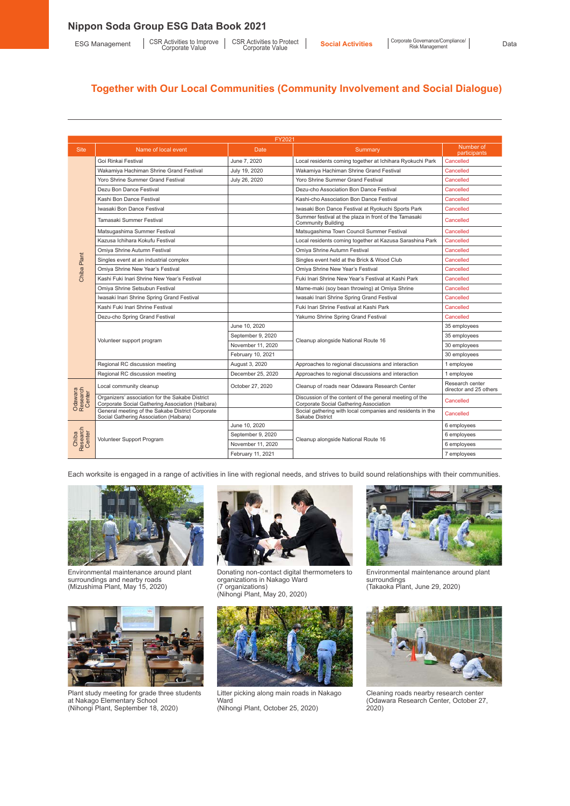|                               | FY2021                                                                                              |                   |                                                                                                   |                                           |  |  |
|-------------------------------|-----------------------------------------------------------------------------------------------------|-------------------|---------------------------------------------------------------------------------------------------|-------------------------------------------|--|--|
| <b>Site</b>                   | Name of local event                                                                                 | Date              | Summary                                                                                           | Number of<br>participants                 |  |  |
|                               | Goi Rinkai Festival                                                                                 | June 7, 2020      | Local residents coming together at Ichihara Ryokuchi Park                                         | Cancelled                                 |  |  |
|                               | Wakamiya Hachiman Shrine Grand Festival                                                             | July 19, 2020     | Wakamiya Hachiman Shrine Grand Festival                                                           | Cancelled                                 |  |  |
|                               | Yoro Shrine Summer Grand Festival                                                                   | July 26, 2020     | Yoro Shrine Summer Grand Festival                                                                 | Cancelled                                 |  |  |
|                               | Dezu Bon Dance Festival                                                                             |                   | Dezu-cho Association Bon Dance Festival                                                           | Cancelled                                 |  |  |
|                               | Kashi Bon Dance Festival                                                                            |                   | Kashi-cho Association Bon Dance Festival                                                          | Cancelled                                 |  |  |
|                               | Iwasaki Bon Dance Festival                                                                          |                   | Iwasaki Bon Dance Festival at Ryokuchi Sports Park                                                | Cancelled                                 |  |  |
|                               | Tamasaki Summer Festival                                                                            |                   | Summer festival at the plaza in front of the Tamasaki<br><b>Community Building</b>                | Cancelled                                 |  |  |
|                               | Matsugashima Summer Festival                                                                        |                   | Matsugashima Town Council Summer Festival                                                         | Cancelled                                 |  |  |
|                               | Kazusa Ichihara Kokufu Festival                                                                     |                   | Local residents coming together at Kazusa Sarashina Park                                          | Cancelled                                 |  |  |
|                               | Omiya Shrine Autumn Festival                                                                        |                   | Omiya Shrine Autumn Festival                                                                      | Cancelled                                 |  |  |
|                               | Singles event at an industrial complex                                                              |                   | Singles event held at the Brick & Wood Club                                                       | Cancelled                                 |  |  |
| Chiba Plant                   | Omiya Shrine New Year's Festival                                                                    |                   | Omiya Shrine New Year's Festival                                                                  | Cancelled                                 |  |  |
|                               | Kashi Fuki Inari Shrine New Year's Festival                                                         |                   | Fuki Inari Shrine New Year's Festival at Kashi Park                                               | Cancelled                                 |  |  |
|                               | Omiya Shrine Setsubun Festival                                                                      |                   | Mame-maki (soy bean throwing) at Omiya Shrine                                                     | Cancelled                                 |  |  |
|                               | Iwasaki Inari Shrine Spring Grand Festival                                                          |                   | Iwasaki Inari Shrine Spring Grand Festival                                                        | Cancelled                                 |  |  |
|                               | Kashi Fuki Inari Shrine Festival                                                                    |                   | Fuki Inari Shrine Festival at Kashi Park                                                          | Cancelled                                 |  |  |
|                               | Dezu-cho Spring Grand Festival                                                                      |                   | Yakumo Shrine Spring Grand Festival                                                               | Cancelled                                 |  |  |
|                               |                                                                                                     | June 10, 2020     |                                                                                                   | 35 employees                              |  |  |
|                               | Volunteer support program                                                                           | September 9, 2020 | Cleanup alongside National Route 16                                                               | 35 employees                              |  |  |
|                               |                                                                                                     | November 11, 2020 |                                                                                                   | 30 employees                              |  |  |
|                               |                                                                                                     | February 10, 2021 |                                                                                                   | 30 employees                              |  |  |
|                               | Regional RC discussion meeting                                                                      | August 3, 2020    | Approaches to regional discussions and interaction                                                | 1 employee                                |  |  |
|                               | Regional RC discussion meeting                                                                      | December 25, 2020 | Approaches to regional discussions and interaction                                                | 1 employee                                |  |  |
|                               | Local community cleanup                                                                             | October 27, 2020  | Cleanup of roads near Odawara Research Center                                                     | Research center<br>director and 25 others |  |  |
| Odawara<br>Research<br>Center | Organizers' association for the Sakabe District<br>Corporate Social Gathering Association (Haibara) |                   | Discussion of the content of the general meeting of the<br>Corporate Social Gathering Association | Cancelled                                 |  |  |
|                               | General meeting of the Sakabe District Corporate<br>Social Gathering Association (Haibara)          |                   | Social gathering with local companies and residents in the<br>Sakabe District                     | Cancelled                                 |  |  |
|                               |                                                                                                     | June 10, 2020     |                                                                                                   | 6 employees                               |  |  |
|                               | Volunteer Support Program                                                                           | September 9, 2020 | Cleanup alongside National Route 16                                                               | 6 employees                               |  |  |
| Chiba<br>Research<br>Center   |                                                                                                     | November 11, 2020 |                                                                                                   | 6 employees                               |  |  |
|                               |                                                                                                     | February 11, 2021 |                                                                                                   | 7 employees                               |  |  |

Each worksite is engaged in a range of activities in line with regional needs, and strives to build sound relationships with their communities.



Environmental maintenance around plant surroundings and nearby roads (Mizushima Plant, May 15, 2020)



Plant study meeting for grade three students at Nakago Elementary School (Nihongi Plant, September 18, 2020)



Donating non-contact digital thermometers to organizations in Nakago Ward (7 organizations) (Nihongi Plant, May 20, 2020)



Litter picking along main roads in Nakago **Ward** (Nihongi Plant, October 25, 2020)



Environmental maintenance around plant surroundings (Takaoka Plant, June 29, 2020)



Cleaning roads nearby research center (Odawara Research Center, October 27, 2020)